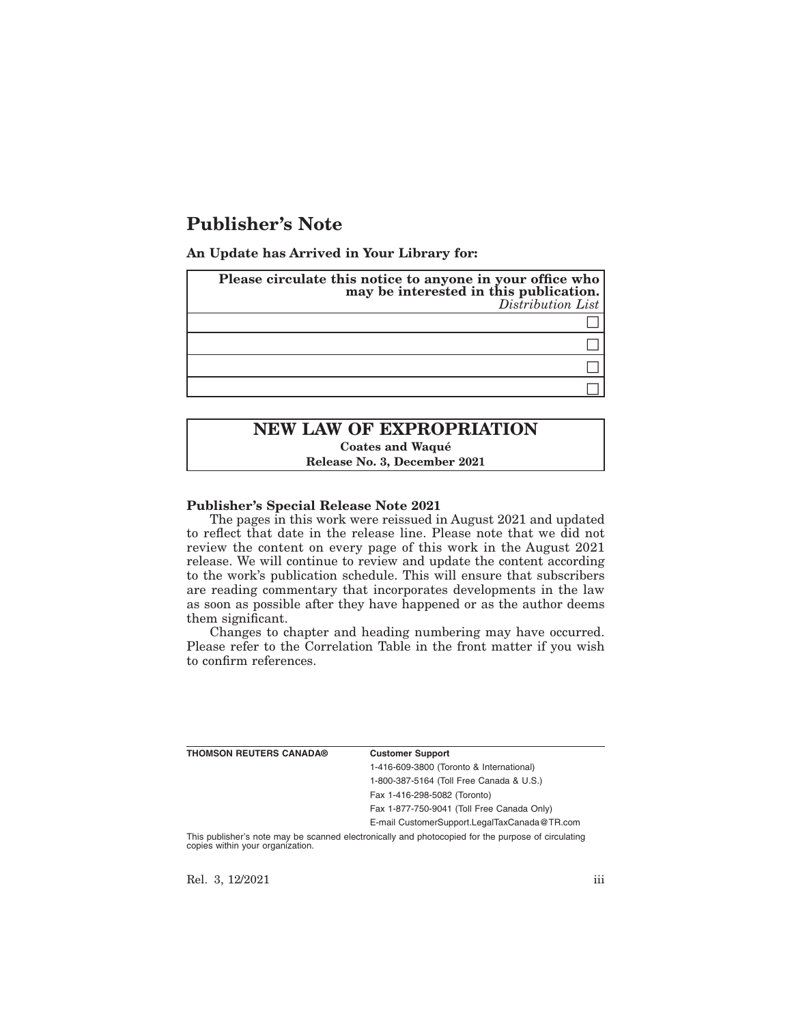# **Publisher's Note**

**An Update has Arrived in Your Library for:**

| Please circulate this notice to anyone in your office who<br>may be interested in this publication.<br>Distribution List |
|--------------------------------------------------------------------------------------------------------------------------|
|                                                                                                                          |
|                                                                                                                          |
|                                                                                                                          |
|                                                                                                                          |

# **NEW LAW OF EXPROPRIATION Coates and Waqué Release No. 3, December 2021**

### **Publisher's Special Release Note 2021**

The pages in this work were reissued in August 2021 and updated to reflect that date in the release line. Please note that we did not review the content on every page of this work in the August 2021 release. We will continue to review and update the content according to the work's publication schedule. This will ensure that subscribers are reading commentary that incorporates developments in the law as soon as possible after they have happened or as the author deems them significant.

Changes to chapter and heading numbering may have occurred. Please refer to the Correlation Table in the front matter if you wish to confirm references.

| <b>THOMSON REUTERS CANADA®</b> | <b>Customer Support</b>                      |
|--------------------------------|----------------------------------------------|
|                                | 1-416-609-3800 (Toronto & International)     |
|                                | 1-800-387-5164 (Toll Free Canada & U.S.)     |
|                                | Fax 1-416-298-5082 (Toronto)                 |
|                                | Fax 1-877-750-9041 (Toll Free Canada Only)   |
|                                | E-mail CustomerSupport.LegalTaxCanada@TR.com |
|                                |                                              |

This publisher's note may be scanned electronically and photocopied for the purpose of circulating copies within your organization.

Rel. 3, 12/2021 iii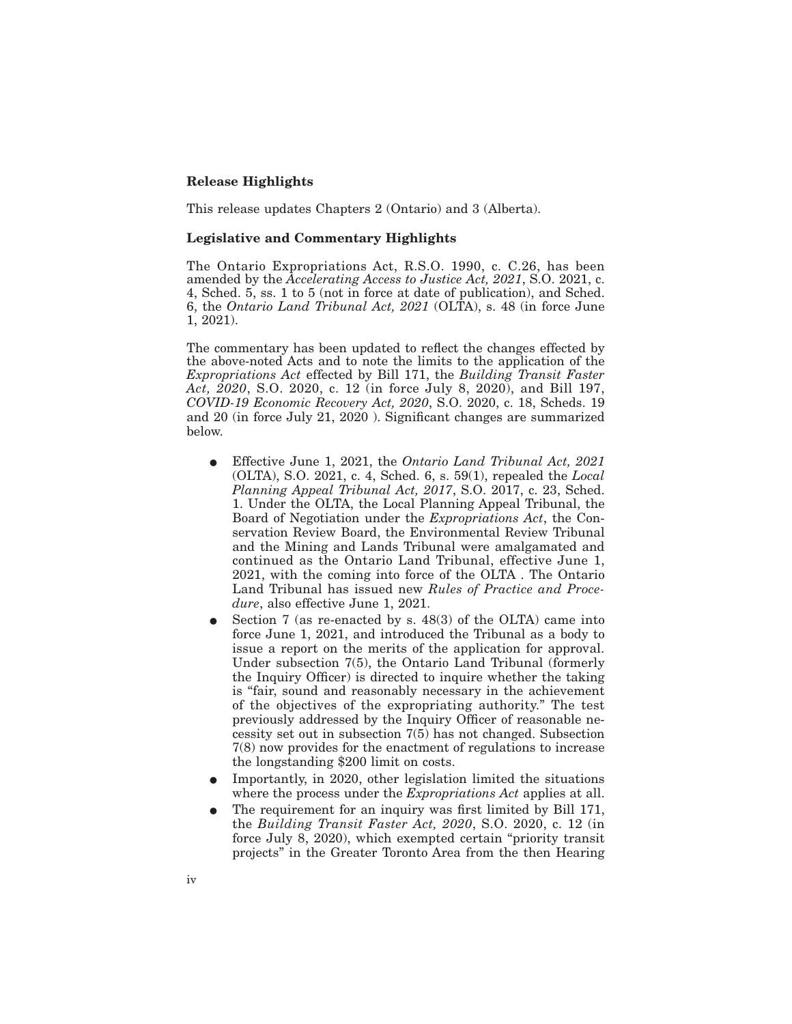## **Release Highlights**

This release updates Chapters 2 (Ontario) and 3 (Alberta).

#### **Legislative and Commentary Highlights**

The Ontario Expropriations Act, R.S.O. 1990, c. C.26, has been amended by the *Accelerating Access to Justice Act, 2021*, S.O. 2021, c. 4, Sched. 5, ss. 1 to 5 (not in force at date of publication), and Sched. 6, the *Ontario Land Tribunal Act, 2021* (OLTA), s. 48 (in force June 1, 2021).

The commentary has been updated to reflect the changes effected by the above-noted Acts and to note the limits to the application of the *Expropriations Act* effected by Bill 171, the *Building Transit Faster Act, 2020*, S.O. 2020, c. 12 (in force July 8, 2020), and Bill 197, *COVID-19 Economic Recovery Act, 2020*, S.O. 2020, c. 18, Scheds. 19 and 20 (in force July 21, 2020 ). Significant changes are summarized below.

- E Effective June 1, 2021, the *Ontario Land Tribunal Act, 2021* (OLTA), S.O. 2021, c. 4, Sched. 6, s. 59(1), repealed the *Local Planning Appeal Tribunal Act, 2017*, S.O. 2017, c. 23, Sched. 1. Under the OLTA, the Local Planning Appeal Tribunal, the Board of Negotiation under the *Expropriations Act*, the Conservation Review Board, the Environmental Review Tribunal and the Mining and Lands Tribunal were amalgamated and continued as the Ontario Land Tribunal, effective June 1, 2021, with the coming into force of the OLTA . The Ontario Land Tribunal has issued new *Rules of Practice and Procedure*, also effective June 1, 2021.
- Section 7 (as re-enacted by s. 48(3) of the OLTA) came into force June 1, 2021, and introduced the Tribunal as a body to issue a report on the merits of the application for approval. Under subsection 7(5), the Ontario Land Tribunal (formerly the Inquiry Officer) is directed to inquire whether the taking is "fair, sound and reasonably necessary in the achievement of the objectives of the expropriating authority." The test previously addressed by the Inquiry Officer of reasonable necessity set out in subsection 7(5) has not changed. Subsection 7(8) now provides for the enactment of regulations to increase the longstanding \$200 limit on costs.
- E Importantly, in 2020, other legislation limited the situations where the process under the *Expropriations Act* applies at all.
- The requirement for an inquiry was first limited by Bill 171, the *Building Transit Faster Act, 2020*, S.O. 2020, c. 12 (in force July 8, 2020), which exempted certain "priority transit projects" in the Greater Toronto Area from the then Hearing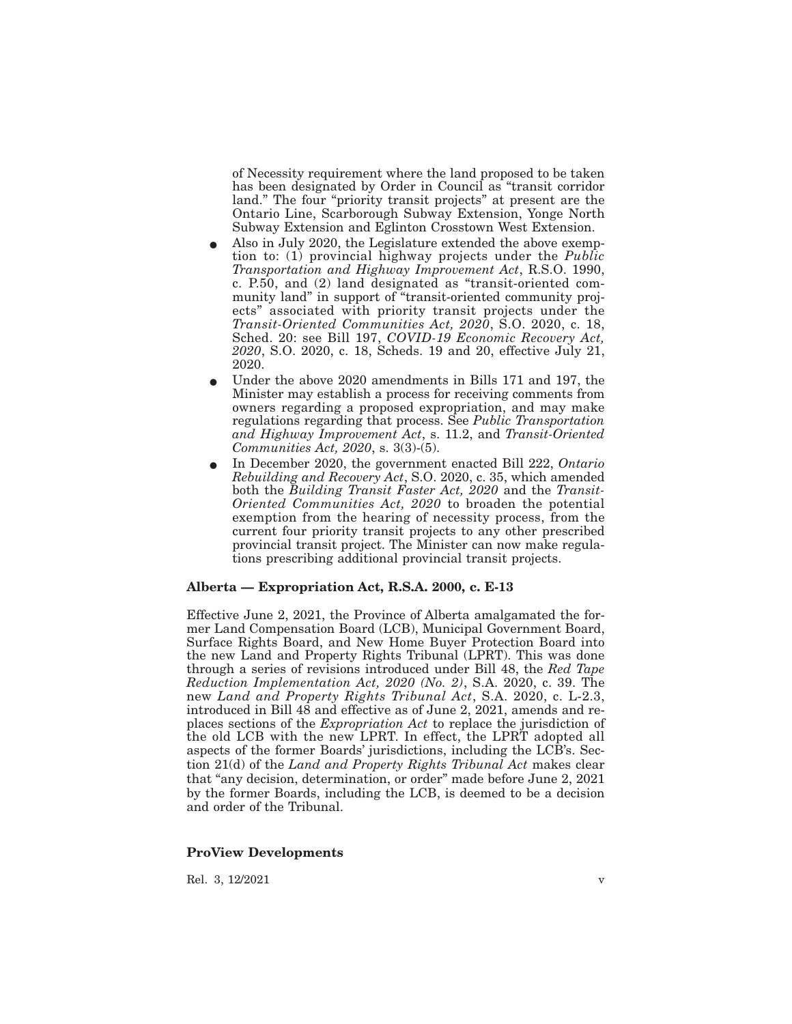of Necessity requirement where the land proposed to be taken has been designated by Order in Council as "transit corridor land." The four "priority transit projects" at present are the Ontario Line, Scarborough Subway Extension, Yonge North Subway Extension and Eglinton Crosstown West Extension.

- Also in July 2020, the Legislature extended the above exemption to: (1) provincial highway projects under the *Public Transportation and Highway Improvement Act*, R.S.O. 1990, c. P.50, and (2) land designated as "transit-oriented community land" in support of "transit-oriented community projects" associated with priority transit projects under the *Transit-Oriented Communities Act, 2020*, S.O. 2020, c. 18, Sched. 20: see Bill 197, *COVID-19 Economic Recovery Act, 2020*, S.O. 2020, c. 18, Scheds. 19 and 20, effective July 21, 2020.
- E Under the above 2020 amendments in Bills 171 and 197, the Minister may establish a process for receiving comments from owners regarding a proposed expropriation, and may make regulations regarding that process. See *Public Transportation and Highway Improvement Act*, s. 11.2, and *Transit-Oriented Communities Act, 2020*, s. 3(3)-(5).
- E In December 2020, the government enacted Bill 222, *Ontario Rebuilding and Recovery Act*, S.O. 2020, c. 35, which amended both the *Building Transit Faster Act, 2020* and the *Transit-Oriented Communities Act, 2020* to broaden the potential exemption from the hearing of necessity process, from the current four priority transit projects to any other prescribed provincial transit project. The Minister can now make regulations prescribing additional provincial transit projects.

#### **Alberta — Expropriation Act, R.S.A. 2000, c. E-13**

Effective June 2, 2021, the Province of Alberta amalgamated the former Land Compensation Board (LCB), Municipal Government Board, Surface Rights Board, and New Home Buyer Protection Board into the new Land and Property Rights Tribunal (LPRT). This was done through a series of revisions introduced under Bill 48, the *Red Tape Reduction Implementation Act, 2020 (No. 2)*, S.A. 2020, c. 39. The new *Land and Property Rights Tribunal Act*, S.A. 2020, c. L-2.3, introduced in Bill 48 and effective as of June 2, 2021, amends and replaces sections of the *Expropriation Act* to replace the jurisdiction of the old LCB with the new LPRT. In effect, the LPRT adopted all aspects of the former Boards' jurisdictions, including the LCB's. Section 21(d) of the *Land and Property Rights Tribunal Act* makes clear that "any decision, determination, or order" made before June 2, 2021 by the former Boards, including the LCB, is deemed to be a decision and order of the Tribunal.

#### **ProView Developments**

Rel. 3, 12/2021 v